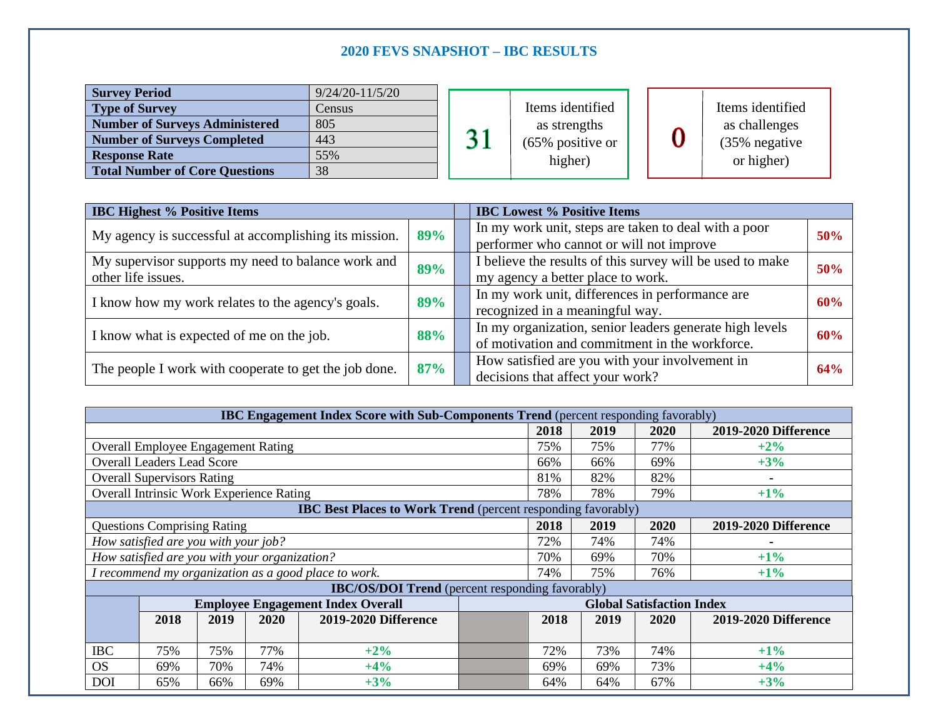# **2020 FEVS SNAPSHOT – IBC RESULTS**

| <b>Survey Period</b>                  | $9/24/20 - 11/5/20$ |                |                                |  |  |                  |
|---------------------------------------|---------------------|----------------|--------------------------------|--|--|------------------|
| <b>Type of Survey</b>                 | Census              |                | Items identified               |  |  | Items identified |
| <b>Number of Surveys Administered</b> | 805                 |                | as strengths                   |  |  | as challenges    |
| <b>Number of Surveys Completed</b>    | 443                 | 2 <sup>1</sup> | $(65\%$ positive or<br>higher) |  |  | (35% negative    |
| <b>Response Rate</b>                  | 55%                 |                |                                |  |  | or higher)       |
| <b>Total Number of Core Questions</b> | 38                  |                |                                |  |  |                  |

| <b>IBC Highest % Positive Items</b>                                      |     |  | <b>IBC Lowest % Positive Items</b>                                                                        |     |  |  |
|--------------------------------------------------------------------------|-----|--|-----------------------------------------------------------------------------------------------------------|-----|--|--|
| 89%<br>My agency is successful at accomplishing its mission.             |     |  | In my work unit, steps are taken to deal with a poor<br>performer who cannot or will not improve          |     |  |  |
| My supervisor supports my need to balance work and<br>other life issues. | 89% |  | I believe the results of this survey will be used to make<br>my agency a better place to work.            | 50% |  |  |
| I know how my work relates to the agency's goals.                        | 89% |  | In my work unit, differences in performance are<br>recognized in a meaningful way.                        | 60% |  |  |
| I know what is expected of me on the job.                                | 88% |  | In my organization, senior leaders generate high levels<br>of motivation and commitment in the workforce. | 60% |  |  |
| The people I work with cooperate to get the job done.                    | 87% |  | How satisfied are you with your involvement in<br>decisions that affect your work?                        | 64% |  |  |

| <b>IBC Engagement Index Score with Sub-Components Trend</b> (percent responding favorably) |                                          |      |      |                      |      |                                  |      |                             |                             |  |
|--------------------------------------------------------------------------------------------|------------------------------------------|------|------|----------------------|------|----------------------------------|------|-----------------------------|-----------------------------|--|
|                                                                                            |                                          |      |      |                      |      | 2018                             | 2019 | 2020                        | <b>2019-2020 Difference</b> |  |
| <b>Overall Employee Engagement Rating</b>                                                  |                                          |      |      |                      | 75%  | 75%                              | 77%  | $+2\%$                      |                             |  |
| <b>Overall Leaders Lead Score</b>                                                          |                                          |      |      |                      | 66%  | 66%                              | 69%  | $+3%$                       |                             |  |
| <b>Overall Supervisors Rating</b>                                                          |                                          |      |      |                      | 81%  | 82%                              | 82%  |                             |                             |  |
| <b>Overall Intrinsic Work Experience Rating</b>                                            |                                          |      |      |                      | 78%  | 78%                              | 79%  | $+1\%$                      |                             |  |
| <b>IBC Best Places to Work Trend</b> (percent responding favorably)                        |                                          |      |      |                      |      |                                  |      |                             |                             |  |
|                                                                                            | <b>Questions Comprising Rating</b>       |      |      |                      | 2018 | 2019                             | 2020 | <b>2019-2020 Difference</b> |                             |  |
| How satisfied are you with your job?                                                       |                                          |      |      |                      | 72%  | 74%                              | 74%  |                             |                             |  |
| How satisfied are you with your organization?                                              |                                          |      |      |                      | 70%  | 69%                              | 70%  | $+1\%$                      |                             |  |
| I recommend my organization as a good place to work.                                       |                                          |      |      |                      | 74%  | 75%                              | 76%  | $+1\%$                      |                             |  |
| <b>IBC/OS/DOI Trend</b> (percent responding favorably)                                     |                                          |      |      |                      |      |                                  |      |                             |                             |  |
|                                                                                            | <b>Employee Engagement Index Overall</b> |      |      |                      |      | <b>Global Satisfaction Index</b> |      |                             |                             |  |
|                                                                                            | 2018                                     | 2019 | 2020 | 2019-2020 Difference |      | 2018                             | 2019 | <b>2020</b>                 | <b>2019-2020 Difference</b> |  |
|                                                                                            |                                          |      |      |                      |      |                                  |      |                             |                             |  |
| <b>IBC</b>                                                                                 | 75%                                      | 75%  | 77%  | $+2%$                |      | 72%                              | 73%  | 74%                         | $+1\%$                      |  |
| <b>OS</b>                                                                                  | 69%                                      | 70%  | 74%  | $+4%$                |      | 69%                              | 69%  | 73%                         | $+4%$                       |  |
| DOI                                                                                        | 65%                                      | 66%  | 69%  | $+3%$                |      | 64%                              | 64%  | 67%                         | $+3%$                       |  |